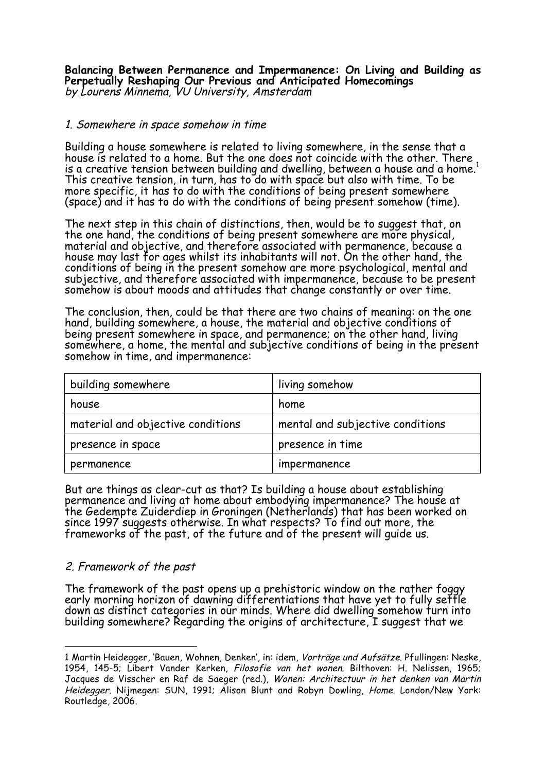**Balancing Between Permanence and Impermanence: On Living and Building as Perpetually Reshaping Our Previous and Anticipated Homecomings** by Lourens Minnema, VU University, Amsterdam

### 1. Somewhere in space somehow in time

Building a house somewhere is related to living somewhere, in the sense that a house is related to a home. But the one does not coincide with the other. There is a creative tension between building and dwelling, between a house and a home. $^{\rm 1}$ This creative tension, in turn, has to do with space but also with time. To be more specific, it has to do with the conditions of being present somewhere (space) and it has to do with the conditions of being present somehow (time).

The next step in this chain of distinctions, then, would be to suggest that, on the one hand, the conditions of being present somewhere are more physical, material and objective, and therefore associated with permanence, because a house may last for ages whilst its inhabitants will not. On the other hand, the conditions of being in the present somehow are more psychological, mental and subjective, and therefore associated with impermanence, because to be present somehow is about moods and attitudes that change constantly or over time.

The conclusion, then, could be that there are two chains of meaning: on the one hand, building somewhere, a house, the material and objective conditions of being present somewhere in space, and permanence; on the other hand, living somewhere, a home, the mental and subjective conditions of being in the present somehow in time, and impermanence:

| building somewhere                | living somehow                   |
|-----------------------------------|----------------------------------|
| house                             | home                             |
| material and objective conditions | mental and subjective conditions |
| presence in space                 | presence in time                 |
| permanence                        | impermanence                     |

But are things as clear-cut as that? Is building a house about establishing permanence and living at home about embodying impermanence? The house at the Gedempte Zuiderdiep in Groningen (Netherlands) that has been worked on since 1997 suggests otherwise. In what respects? To find out more, the frameworks of the past, of the future and of the present will guide us.

# 2. Framework of the past

 $\overline{a}$ 

The framework of the past opens up a prehistoric window on the rather foggy early morning horizon of dawning differentiations that have yet to fully settle down as distinct categories in our minds. Where did dwelling somehow furn into building somewhere? Regarding the origins of architecture, I suggest that we

<sup>1</sup> Martin Heidegger, 'Bauen, Wohnen, Denken', in: idem, Vorträge und Aufsätze. Pfullingen: Neske, 1954, 145-5; Libert Vander Kerken, Filosofie van het wonen. Bilthoven: H. Nelissen, 1965; Jacques de Visscher en Raf de Saeger (red.), Wonen: Architectuur in het denken van Martin Heidegger. Nijmegen: SUN, 1991; Alison Blunt and Robyn Dowling, Home. London/New York: Routledge, 2006.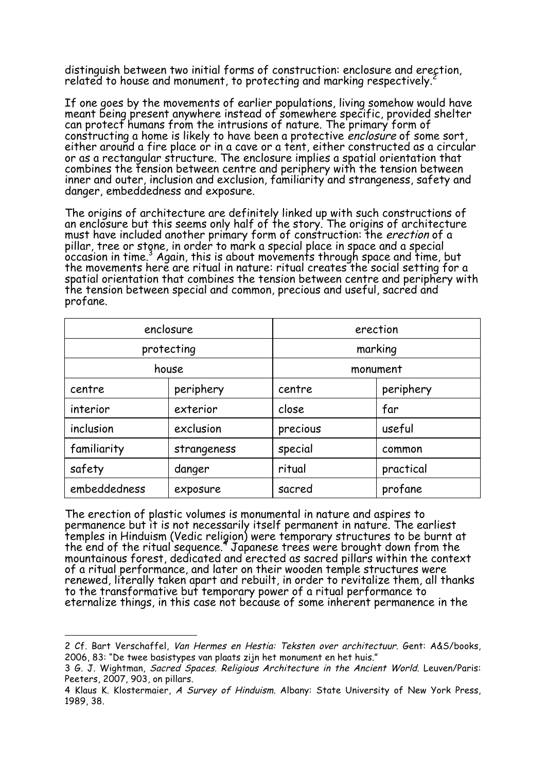distinguish between two initial forms of construction: enclosure and erection, related to house and monument, to protecting and marking respectively.

If one goes by the movements of earlier populations, living somehow would have meant being present anywhere instead of somewhere specific, provided shelter can protect humans from the intrusions of nature. The primary form of constructing a home is likely to have been a protective enclosure of some sort, either around a fire place or in a cave or a tent, either constructed as a circular or as a rectangular structure. The enclosure implies a spatial orientation that combines the tension between centre and periphery with the tension between inner and outer, inclusion and exclusion, familiarity and strangeness, safety and danger, embeddedness and exposure.

The origins of architecture are definitely linked up with such constructions of an enclosure but this seems only half of the story. The origins of architecture must have included another primary form of construction: the erection of a pillar, tree or stone, in order to mark a special place in space and a special occasion in time.3 Again, this is about movements through space and time, but the movements here are ritual in nature: ritual creates the social setting for a spatial orientation that combines the tension between centre and periphery with the tension between special and common, precious and useful, sacred and profane.

| enclosure    |             | erection |           |
|--------------|-------------|----------|-----------|
| protecting   |             | marking  |           |
| house        |             | monument |           |
| centre       | periphery   | centre   | periphery |
| interior     | exterior    | close    | far       |
| inclusion    | exclusion   | precious | useful    |
| familiarity  | strangeness | special  | common    |
| safety       | danger      | ritual   | practical |
| embeddedness | exposure    | sacred   | profane   |

The erection of plastic volumes is monumental in nature and aspires to permanence but it is not necessarily itself permanent in nature. The earliest temples in Hinduism (Vedic religion) were temporary structures to be burnt at the end of the ritual sequence.<sup>4</sup> Japanese trees were brought down from the mountainous forest, dedicated and erected as sacred pillars within the context of a ritual performance, and later on their wooden temple structures were renewed, literally taken apart and rebuilt, in order to revitalize them, all thanks to the transformative but temporary power of a ritual performance to eternalize things, in this case not because of some inherent permanence in the

 $\overline{a}$ 2 Cf. Bart Verschaffel, Van Hermes en Hestia: Teksten over architectuur. Gent: A&S/books, 2006, 83: "De twee basistypes van plaats zijn het monument en het huis."

<sup>3</sup> G. J. Wightman, Sacred Spaces. Religious Architecture in the Ancient World. Leuven/Paris: Peeters, 2007, 903, on pillars.

<sup>4</sup> Klaus K. Klostermaier, A Survey of Hinduism. Albany: State University of New York Press, 1989, 38.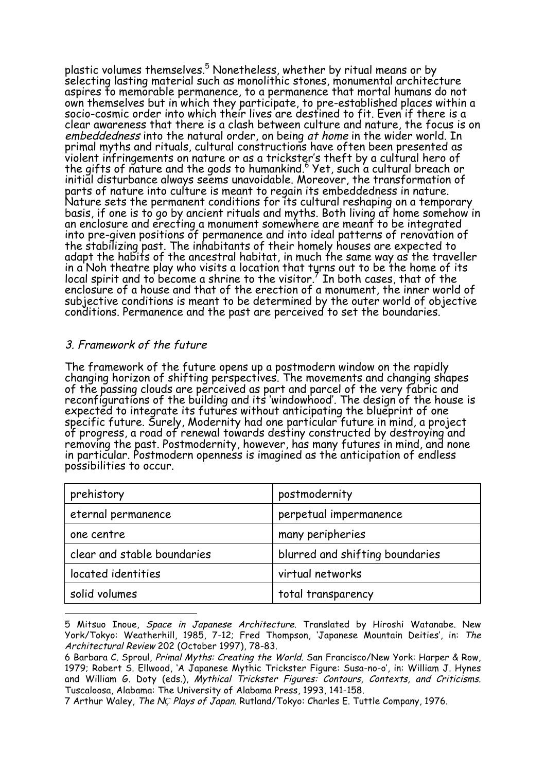plastic volumes themselves.<sup>5</sup> Nonetheless, whether by ritual means or by selecting lasting material such as monolithic stones, monumental architecture aspires to memorable permanence, to a permanence that mortal humans do not own themselves but in which they participate, to pre-established places within a socio-cosmic order into which their lives are destined to fit. Even if there is a clear awareness that there is a clash between culture and nature, the focus is on embeddedness into the natural order, on being at home in the wider world. In primal myths and rituals, cultural constructions have often been presented as violent infringements on nature or as a trickster's theft by a cultural hero of the gifts of nature and the gods to humankind.<sup>6</sup> Yet, such a cultural breach or initial disturbance always seems unavoidable. Moreover, the transformation of parts of nature into culture is meant to regain its embeddedness in nature. Nature sets the permanent conditions for its cultural reshaping on a temporary basis, if one is to go by ancient rituals and myths. Both living at home somehow in an enclosure and erecting a monument somewhere are meant to be integrated into pre-given positions of permanence and into ideal patterns of renovation of the stabilizing past. The inhabitants of their homely houses are expected to adapt the habits of the ancestral habitat, in much the same way as the traveller in a Noh theatre play who visits a location that turns out to be the home of its local spirit and to become a shrine to the visitor.<sup>7</sup> In both cases, that of the enclosure of a house and that of the erection of a monument, the inner world of subjective conditions is meant to be determined by the outer world of objective conditions. Permanence and the past are perceived to set the boundaries.

# 3. Framework of the future

 $\overline{a}$ 

The framework of the future opens up a postmodern window on the rapidly changing horizon of shifting perspectives. The movements and changing shapes of the passing clouds are perceived as part and parcel of the very fabric and reconfigurations of the building and its 'windowhood'. The design of the house is expected to integrate its futures without anticipating the blueprint of one specific future. Surely, Modernity had one particular future in mind, a project of progress, a road of renewal towards destiny constructed by destroying and removing the past. Postmodernity, however, has many futures in mind, and none in particular. Postmodern openness is imagined as the anticipation of endless possibilities to occur.

| prehistory                  | postmodernity                   |
|-----------------------------|---------------------------------|
| eternal permanence          | perpetual impermanence          |
| one centre                  | many peripheries                |
| clear and stable boundaries | blurred and shifting boundaries |
| located identities          | virtual networks                |
| solid volumes               | total transparency              |

<sup>5</sup> Mitsuo Inoue, Space in Japanese Architecture. Translated by Hiroshi Watanabe. New York/Tokyo: Weatherhill, 1985, 7-12; Fred Thompson, 'Japanese Mountain Deities', in: The Architectural Review 202 (October 1997), 78-83.

<sup>6</sup> Barbara C. Sproul, Primal Myths: Creating the World. San Francisco/New York: Harper & Row, 1979; Robert S. Ellwood, 'A Japanese Mythic Trickster Figure: Susa-no-o', in: William J. Hynes and William G. Doty (eds.), Mythical Trickster Figures: Contours, Contexts, and Criticisms. Tuscaloosa, Alabama: The University of Alabama Press, 1993, 141-158.

<sup>7</sup> Arthur Waley, The N*Ç* Plays of Japan. Rutland/Tokyo: Charles E. Tuttle Company, 1976.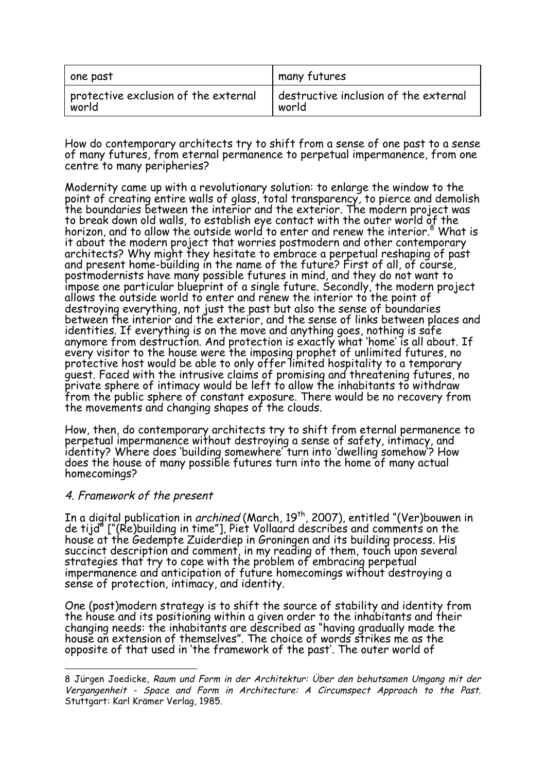| one past                                  | many futures                          |
|-------------------------------------------|---------------------------------------|
| $\,$ protective exclusion of the external | destructive inclusion of the external |
| world                                     | world                                 |

How do contemporary architects try to shift from a sense of one past to a sense of many futures, from eternal permanence to perpetual impermanence, from one centre to many peripheries?

Modernity came up with a revolutionary solution: to enlarge the window to the point of creating entire walls of glass, total transparency, to pierce and demolish<br>the boundaries between the interior and the exterior. The modern project was the boundaries between the interior and the exterior. The modern project was<br>to break down old walls, to establish eye contact with the outer world of the horizon, and to allow the outside world to enter and renew the interior.<sup>8</sup> What is it about the modern project that worries postmodern and other contemporary<br>architects? Why might they hesitate to embrace a perpetual reshaping of past and present home-building in the name of the future? First of all, of course,<br>postmodernists have many possible futures in mind, and they do not want to impose one particular blueprint of a single future. Secondly, the modern project<br>allows the outside world to enter and renew the interior to the point of destroying everything, not just the past but also the sense of boundaries<br>between the interior and the exterior, and the sense of links between places and identities. If everything is on the move and anything goes, nothing is safe anymore from destruction. And protection is exactly what 'home' is all about. If every visitor to the house were the imposing prophet of unlimited futures, no protective host would be able to only offer limited hospitality to a temporary guest. Faced with the intrusive claims of promising and threatening futures, no private sphere of intimacy would be left to allow the inhabitants to withdraw from the public sphere of constant exposure. There would be no recovery from the movements and changing shapes of the clouds.

How, then, do contemporary architects try to shift from eternal permanence to perpetual impermanence without destroying a sense of safety, intimacy, and identity? Where does 'building somewhere' turn into 'dwelling somehow'? How does the house of many possible futures turn into the home of many actual homecomings?

### 4. Framework of the present

 $\overline{a}$ 

In a digital publication in *archined* (March, 19<sup>th</sup>, 2007), entitled "(Ver)bouwen in de tijd" ["(Re)building in time"], Piet Vollaard describes and comments on the house at the Gedempte Zuiderdiep in Groningen and its building process. His succinct description and comment, in my reading of them, touch upon several strategies that try to cope with the problem of embracing perpetual impermanence and anticipation of future homecomings without destroying a sense of protection, intimacy, and identity.

One (post)modern strategy is to shift the source of stability and identity from the house and its positioning within a given order to the inhabitants and their changing needs: the inhabitants are described as "having gradually made the house an extension of themselves". The choice of words strikes me as the opposite of that used in 'the framework of the past'. The outer world of

<sup>8</sup> Jürgen Joedicke, Raum und Form in der Architektur: Über den behutsamen Umgang mit der Vergangenheit - Space and Form in Architecture: A Circumspect Approach to the Past. Stuttgart: Karl Krämer Verlag, 1985.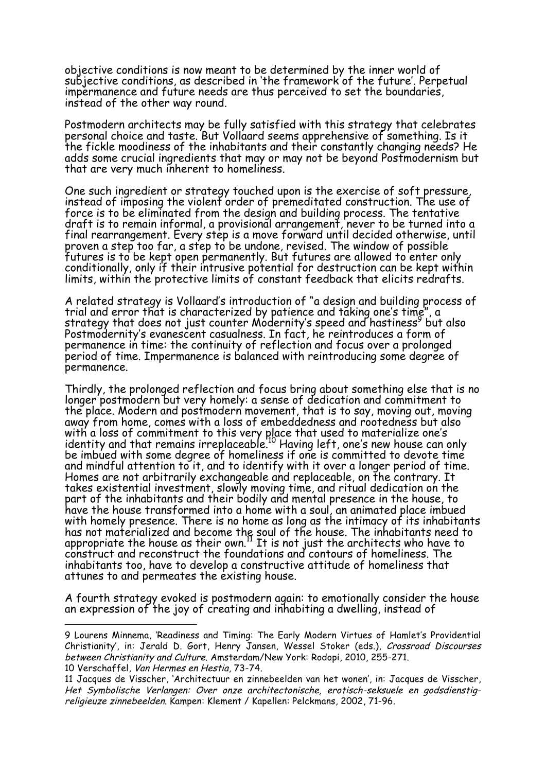objective conditions is now meant to be determined by the inner world of subjective conditions, as described in 'the framework of the future'. Perpetual impermanence and future needs are thus perceived to set the boundaries, instead of the other way round.

Postmodern architects may be fully satisfied with this strategy that celebrates personal choice and taste. But Vollaard seems apprehensive of something. Is it the fickle moodiness of the inhabitants and their constantly changing needs? He adds some crucial ingredients that may or may not be beyond Postmodernism but that are very much inherent to homeliness.

One such ingredient or strategy touched upon is the exercise of soft pressure, instead of imposing the violent order of premeditated construction. The use of force is to be eliminated from the design and building process. The tentative draft is to remain informal, a provisional arrangement, never to be turned into a final rearrangement. Every step is a move forward until decided otherwise, until proven a step too far, a step to be undone, revised. The window of possible futures is to be kept open permanently. But futures are allowed to enter only conditionally, only if their intrusive potential for destruction can be kept within limits, within the protective limits of constant feedback that elicits redrafts.

A related strategy is Vollaard's introduction of "a design and building process of trial and error that is characterized by patience and taking one's time", a strategy that does not just counter Modernity's speed and hastiness<sup>9</sup> but also Postmodernity's evanescent casualness. In fact, he reintroduces a form of permanence in time: the continuity of reflection and focus over a prolonged period of time. Impermanence is balanced with reintroducing some degree of permanence.

Thirdly, the prolonged reflection and focus bring about something else that is no longer postmodern but very homely: a sense of dedication and commitment to the place. Modern and postmodern movement, that is to say, moving out, moving away from home, comes with a loss of embeddedness and rootedness but also with a loss of commitment to this very place that used to materialize one's identity and that remains irreplaceable.<sup>10</sup> Having left, one's new house can only be imbued with some degree of homeliness if one is committed to devote time and mindful attention to it, and to identify with it over a longer period of time. Homes are not arbitrarily exchangeable and replaceable, on the contrary. It takes existential investment, slowly moving time, and ritual dedication on the part of the inhabitants and their bodily and mental presence in the house, to have the house transformed into a home with a soul, an animated place imbued with homely presence. There is no home as long as the intimacy of its inhabitants has not materialized and become the soul of the house. The inhabitants need to appropriate the house as their own. $^{11}$  It is not just the architects who have to construct and reconstruct the foundations and contours of homeliness. The inhabitants too, have to develop a constructive attitude of homeliness that attunes to and permeates the existing house.

A fourth strategy evoked is postmodern again: to emotionally consider the house an expression of the joy of creating and inhabiting a dwelling, instead of

 $\overline{a}$ 

<sup>9</sup> Lourens Minnema, 'Readiness and Timing: The Early Modern Virtues of Hamlet's Providential Christianity', in: Jerald D. Gort, Henry Jansen, Wessel Stoker (eds.), Crossroad Discourses between Christianity and Culture. Amsterdam/New York: Rodopi, 2010, 255-271. 10 Verschaffel, Van Hermes en Hestia, 73-74.

<sup>11</sup> Jacques de Visscher, 'Architectuur en zinnebeelden van het wonen', in: Jacques de Visscher, Het Symbolische Verlangen: Over onze architectonische, erotisch-seksuele en godsdienstigreligieuze zinnebeelden. Kampen: Klement / Kapellen: Pelckmans, 2002, 71-96.